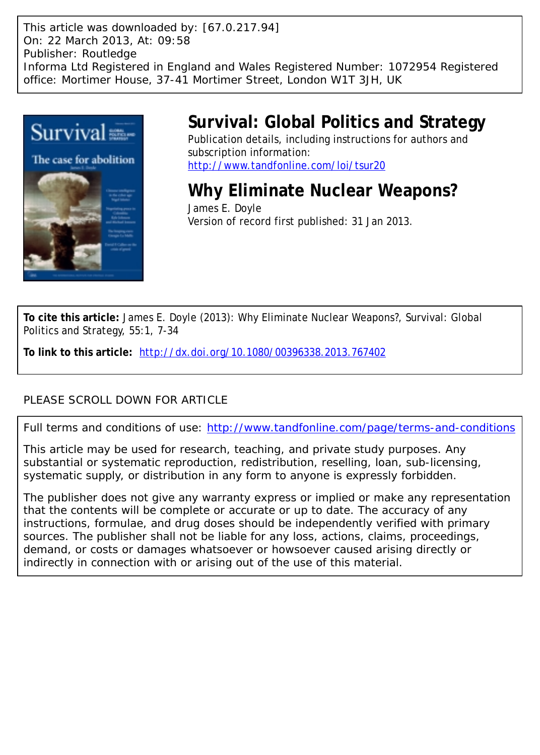This article was downloaded by: [67.0.217.94] On: 22 March 2013, At: 09:58 Publisher: Routledge Informa Ltd Registered in England and Wales Registered Number: 1072954 Registered office: Mortimer House, 37-41 Mortimer Street, London W1T 3JH, UK



## **Survival: Global Politics and Strategy**

Publication details, including instructions for authors and subscription information: <http://www.tandfonline.com/loi/tsur20>

**Why Eliminate Nuclear Weapons?** James E. Doyle Version of record first published: 31 Jan 2013.

**To cite this article:** James E. Doyle (2013): Why Eliminate Nuclear Weapons?, Survival: Global Politics and Strategy, 55:1, 7-34

**To link to this article:** <http://dx.doi.org/10.1080/00396338.2013.767402>

## PLEASE SCROLL DOWN FOR ARTICLE

Full terms and conditions of use:<http://www.tandfonline.com/page/terms-and-conditions>

This article may be used for research, teaching, and private study purposes. Any substantial or systematic reproduction, redistribution, reselling, loan, sub-licensing, systematic supply, or distribution in any form to anyone is expressly forbidden.

The publisher does not give any warranty express or implied or make any representation that the contents will be complete or accurate or up to date. The accuracy of any instructions, formulae, and drug doses should be independently verified with primary sources. The publisher shall not be liable for any loss, actions, claims, proceedings, demand, or costs or damages whatsoever or howsoever caused arising directly or indirectly in connection with or arising out of the use of this material.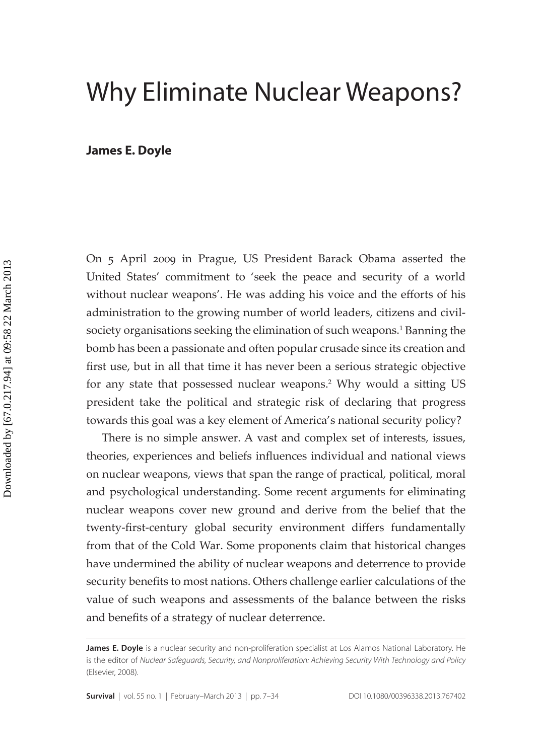# Why Eliminate Nuclear Weapons?

**James E. Doyle**

On 5 April 2009 in Prague, US President Barack Obama asserted the United States' commitment to 'seek the peace and security of a world without nuclear weapons'. He was adding his voice and the efforts of his administration to the growing number of world leaders, citizens and civilsociety organisations seeking the elimination of such weapons.<sup>1</sup> Banning the bomb has been a passionate and often popular crusade since its creation and first use, but in all that time it has never been a serious strategic objective for any state that possessed nuclear weapons.<sup>2</sup> Why would a sitting US president take the political and strategic risk of declaring that progress towards this goal was a key element of America's national security policy?

There is no simple answer. A vast and complex set of interests, issues, theories, experiences and beliefs influences individual and national views on nuclear weapons, views that span the range of practical, political, moral and psychological understanding. Some recent arguments for eliminating nuclear weapons cover new ground and derive from the belief that the twenty-first-century global security environment differs fundamentally from that of the Cold War. Some proponents claim that historical changes have undermined the ability of nuclear weapons and deterrence to provide security benefits to most nations. Others challenge earlier calculations of the value of such weapons and assessments of the balance between the risks and benefits of a strategy of nuclear deterrence.

James E. Doyle is a nuclear security and non-proliferation specialist at Los Alamos National Laboratory. He is the editor of *Nuclear Safeguards, Security, and Nonproliferation: Achieving Security With Technology and Policy* (Elsevier, 2008).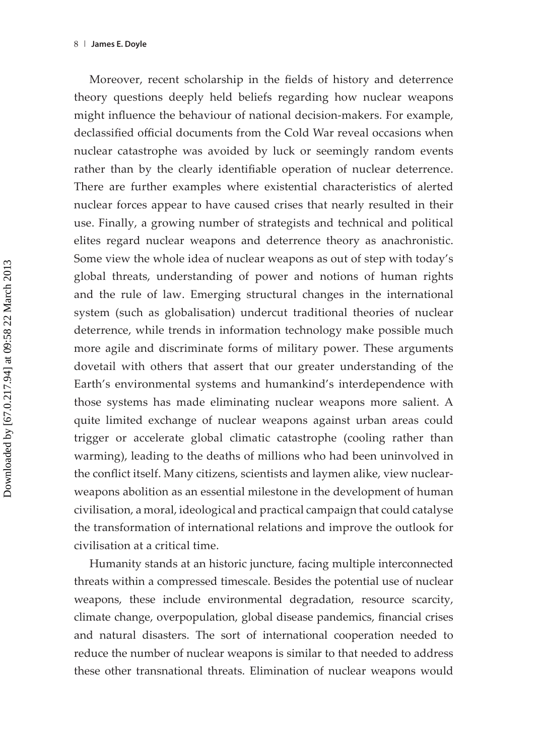Moreover, recent scholarship in the fields of history and deterrence theory questions deeply held beliefs regarding how nuclear weapons might influence the behaviour of national decision-makers. For example, declassified official documents from the Cold War reveal occasions when nuclear catastrophe was avoided by luck or seemingly random events rather than by the clearly identifiable operation of nuclear deterrence. There are further examples where existential characteristics of alerted nuclear forces appear to have caused crises that nearly resulted in their use. Finally, a growing number of strategists and technical and political elites regard nuclear weapons and deterrence theory as anachronistic. Some view the whole idea of nuclear weapons as out of step with today's global threats, understanding of power and notions of human rights and the rule of law. Emerging structural changes in the international system (such as globalisation) undercut traditional theories of nuclear deterrence, while trends in information technology make possible much more agile and discriminate forms of military power. These arguments dovetail with others that assert that our greater understanding of the Earth's environmental systems and humankind's interdependence with those systems has made eliminating nuclear weapons more salient. A quite limited exchange of nuclear weapons against urban areas could trigger or accelerate global climatic catastrophe (cooling rather than warming), leading to the deaths of millions who had been uninvolved in the conflict itself. Many citizens, scientists and laymen alike, view nuclearweapons abolition as an essential milestone in the development of human civilisation, a moral, ideological and practical campaign that could catalyse the transformation of international relations and improve the outlook for civilisation at a critical time.

Humanity stands at an historic juncture, facing multiple interconnected threats within a compressed timescale. Besides the potential use of nuclear weapons, these include environmental degradation, resource scarcity, climate change, overpopulation, global disease pandemics, financial crises and natural disasters. The sort of international cooperation needed to reduce the number of nuclear weapons is similar to that needed to address these other transnational threats. Elimination of nuclear weapons would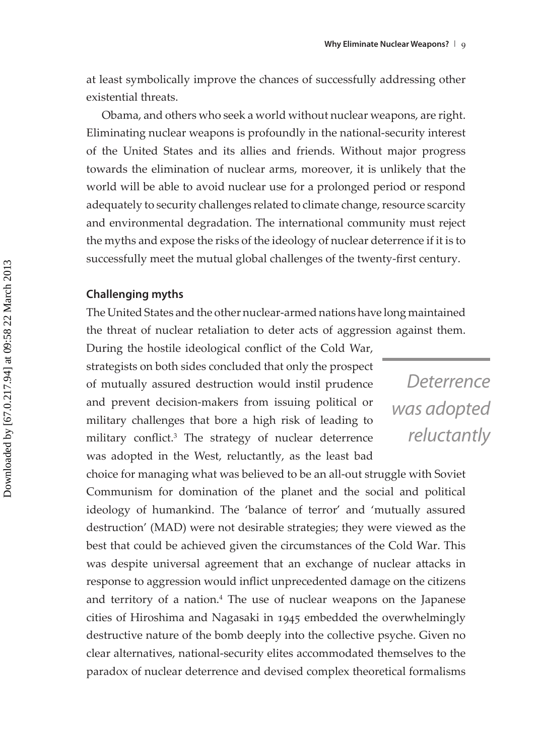at least symbolically improve the chances of successfully addressing other existential threats.

Obama, and others who seek a world without nuclear weapons, are right. Eliminating nuclear weapons is profoundly in the national-security interest of the United States and its allies and friends. Without major progress towards the elimination of nuclear arms, moreover, it is unlikely that the world will be able to avoid nuclear use for a prolonged period or respond adequately to security challenges related to climate change, resource scarcity and environmental degradation. The international community must reject the myths and expose the risks of the ideology of nuclear deterrence if it is to successfully meet the mutual global challenges of the twenty-first century.

#### **Challenging myths**

The United States and the other nuclear-armed nations have long maintained the threat of nuclear retaliation to deter acts of aggression against them.

During the hostile ideological conflict of the Cold War, strategists on both sides concluded that only the prospect of mutually assured destruction would instil prudence and prevent decision-makers from issuing political or military challenges that bore a high risk of leading to military conflict.<sup>3</sup> The strategy of nuclear deterrence was adopted in the West, reluctantly, as the least bad

*Deterrence was adopted reluctantly*

choice for managing what was believed to be an all-out struggle with Soviet Communism for domination of the planet and the social and political ideology of humankind. The 'balance of terror' and 'mutually assured destruction' (MAD) were not desirable strategies; they were viewed as the best that could be achieved given the circumstances of the Cold War. This was despite universal agreement that an exchange of nuclear attacks in response to aggression would inflict unprecedented damage on the citizens and territory of a nation.<sup>4</sup> The use of nuclear weapons on the Japanese cities of Hiroshima and Nagasaki in 1945 embedded the overwhelmingly destructive nature of the bomb deeply into the collective psyche. Given no clear alternatives, national-security elites accommodated themselves to the paradox of nuclear deterrence and devised complex theoretical formalisms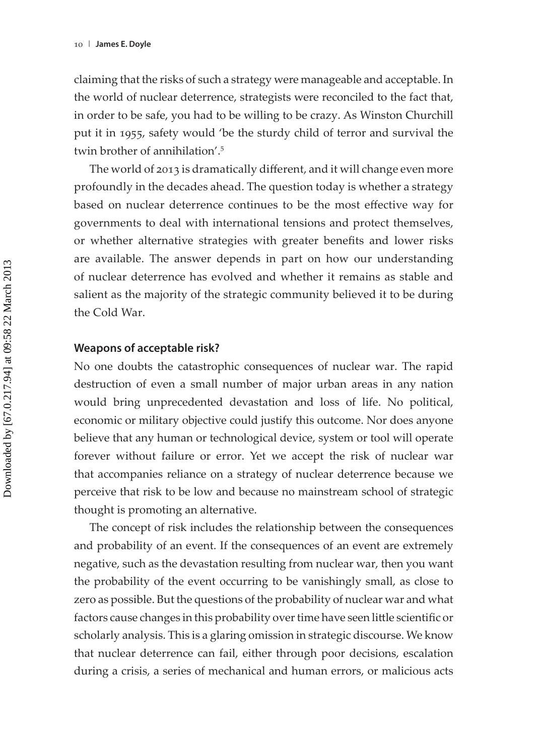claiming that the risks of such a strategy were manageable and acceptable. In the world of nuclear deterrence, strategists were reconciled to the fact that, in order to be safe, you had to be willing to be crazy. As Winston Churchill put it in 1955, safety would 'be the sturdy child of terror and survival the twin brother of annihilation'.<sup>5</sup>

The world of 2013 is dramatically different, and it will change even more profoundly in the decades ahead. The question today is whether a strategy based on nuclear deterrence continues to be the most effective way for governments to deal with international tensions and protect themselves, or whether alternative strategies with greater benefits and lower risks are available. The answer depends in part on how our understanding of nuclear deterrence has evolved and whether it remains as stable and salient as the majority of the strategic community believed it to be during the Cold War.

#### **Weapons of acceptable risk?**

No one doubts the catastrophic consequences of nuclear war. The rapid destruction of even a small number of major urban areas in any nation would bring unprecedented devastation and loss of life. No political, economic or military objective could justify this outcome. Nor does anyone believe that any human or technological device, system or tool will operate forever without failure or error. Yet we accept the risk of nuclear war that accompanies reliance on a strategy of nuclear deterrence because we perceive that risk to be low and because no mainstream school of strategic thought is promoting an alternative.

The concept of risk includes the relationship between the consequences and probability of an event. If the consequences of an event are extremely negative, such as the devastation resulting from nuclear war, then you want the probability of the event occurring to be vanishingly small, as close to zero as possible. But the questions of the probability of nuclear war and what factors cause changes in this probability over time have seen little scientific or scholarly analysis. This is a glaring omission in strategic discourse. We know that nuclear deterrence can fail, either through poor decisions, escalation during a crisis, a series of mechanical and human errors, or malicious acts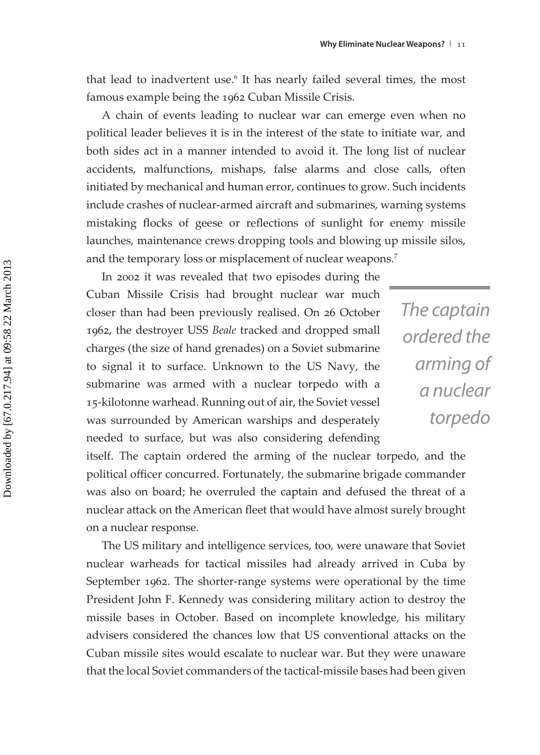that lead to inadvertent use.<sup>6</sup> It has nearly failed several times, the most famous example being the 1962 Cuban Missile Crisis.

A chain of events leading to nuclear war can emerge even when no political leader believes it is in the interest of the state to initiate war, and both sides act in a manner intended to avoid it. The long list of nuclear accidents, malfunctions, mishaps, false alarms and close calls, often initiated by mechanical and human error, continues to grow. Such incidents include crashes of nuclear-armed aircraft and submarines, warning systems mistaking flocks of geese or reflections of sunlight for enemy missile launches, maintenance crews dropping tools and blowing up missile silos, and the temporary loss or misplacement of nuclear weapons.<sup>7</sup>

In 2002 it was revealed that two episodes during the Cuban Missile Crisis had brought nuclear war much closer than had been previously realised. On 26 October 1962, the destroyer USS *Beale* tracked and dropped small charges (the size of hand grenades) on a Soviet submarine to signal it to surface. Unknown to the US Navy, the submarine was armed with a nuclear torpedo with a 15-kilotonne warhead. Running out of air, the Soviet vessel was surrounded by American warships and desperately needed to surface, but was also considering defending

*The captain ordered the arming of a nuclear torpedo*

itself. The captain ordered the arming of the nuclear torpedo, and the political officer concurred. Fortunately, the submarine brigade commander was also on board; he overruled the captain and defused the threat of a nuclear attack on the American fleet that would have almost surely brought on a nuclear response.

The US military and intelligence services, too, were unaware that Soviet nuclear warheads for tactical missiles had already arrived in Cuba by September 1962. The shorter-range systems were operational by the time President John F. Kennedy was considering military action to destroy the missile bases in October. Based on incomplete knowledge, his military advisers considered the chances low that US conventional attacks on the Cuban missile sites would escalate to nuclear war. But they were unaware that the local Soviet commanders of the tactical-missile bases had been given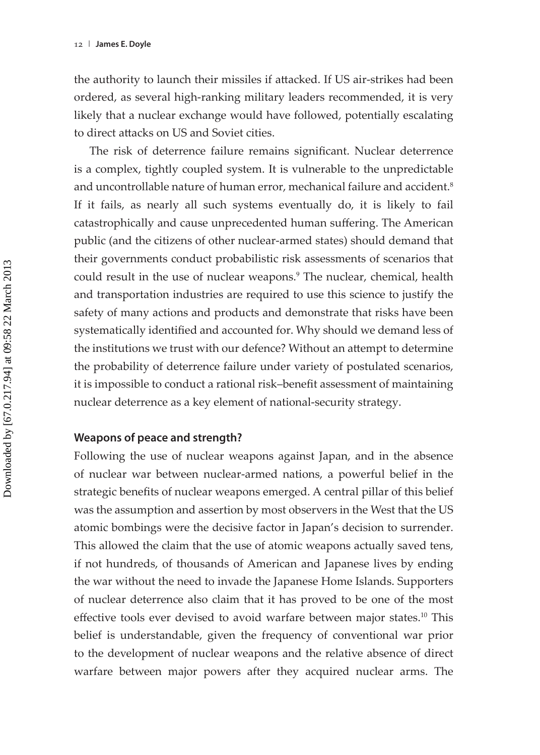the authority to launch their missiles if attacked. If US air-strikes had been ordered, as several high-ranking military leaders recommended, it is very likely that a nuclear exchange would have followed, potentially escalating to direct attacks on US and Soviet cities.

The risk of deterrence failure remains significant. Nuclear deterrence is a complex, tightly coupled system. It is vulnerable to the unpredictable and uncontrollable nature of human error, mechanical failure and accident.<sup>8</sup> If it fails, as nearly all such systems eventually do, it is likely to fail catastrophically and cause unprecedented human suffering. The American public (and the citizens of other nuclear-armed states) should demand that their governments conduct probabilistic risk assessments of scenarios that could result in the use of nuclear weapons.<sup>9</sup> The nuclear, chemical, health and transportation industries are required to use this science to justify the safety of many actions and products and demonstrate that risks have been systematically identified and accounted for. Why should we demand less of the institutions we trust with our defence? Without an attempt to determine the probability of deterrence failure under variety of postulated scenarios, it is impossible to conduct a rational risk–benefit assessment of maintaining nuclear deterrence as a key element of national-security strategy.

#### **Weapons of peace and strength?**

Following the use of nuclear weapons against Japan, and in the absence of nuclear war between nuclear-armed nations, a powerful belief in the strategic benefits of nuclear weapons emerged. A central pillar of this belief was the assumption and assertion by most observers in the West that the US atomic bombings were the decisive factor in Japan's decision to surrender. This allowed the claim that the use of atomic weapons actually saved tens, if not hundreds, of thousands of American and Japanese lives by ending the war without the need to invade the Japanese Home Islands. Supporters of nuclear deterrence also claim that it has proved to be one of the most effective tools ever devised to avoid warfare between major states.<sup>10</sup> This belief is understandable, given the frequency of conventional war prior to the development of nuclear weapons and the relative absence of direct warfare between major powers after they acquired nuclear arms. The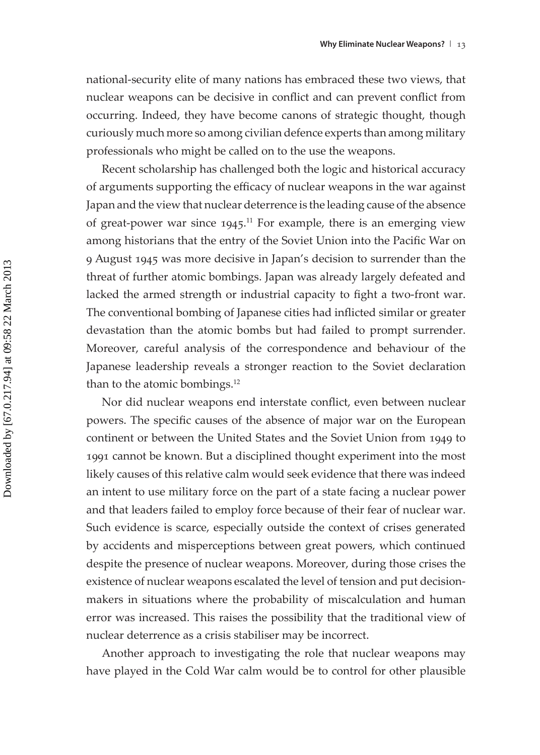national-security elite of many nations has embraced these two views, that nuclear weapons can be decisive in conflict and can prevent conflict from occurring. Indeed, they have become canons of strategic thought, though curiously much more so among civilian defence experts than among military professionals who might be called on to the use the weapons.

Recent scholarship has challenged both the logic and historical accuracy of arguments supporting the efficacy of nuclear weapons in the war against Japan and the view that nuclear deterrence is the leading cause of the absence of great-power war since  $1945$ .<sup>11</sup> For example, there is an emerging view among historians that the entry of the Soviet Union into the Pacific War on 9 August 1945 was more decisive in Japan's decision to surrender than the threat of further atomic bombings. Japan was already largely defeated and lacked the armed strength or industrial capacity to fight a two-front war. The conventional bombing of Japanese cities had inflicted similar or greater devastation than the atomic bombs but had failed to prompt surrender. Moreover, careful analysis of the correspondence and behaviour of the Japanese leadership reveals a stronger reaction to the Soviet declaration than to the atomic bombings.<sup>12</sup>

Nor did nuclear weapons end interstate conflict, even between nuclear powers. The specific causes of the absence of major war on the European continent or between the United States and the Soviet Union from 1949 to 1991 cannot be known. But a disciplined thought experiment into the most likely causes of this relative calm would seek evidence that there was indeed an intent to use military force on the part of a state facing a nuclear power and that leaders failed to employ force because of their fear of nuclear war. Such evidence is scarce, especially outside the context of crises generated by accidents and misperceptions between great powers, which continued despite the presence of nuclear weapons. Moreover, during those crises the existence of nuclear weapons escalated the level of tension and put decisionmakers in situations where the probability of miscalculation and human error was increased. This raises the possibility that the traditional view of nuclear deterrence as a crisis stabiliser may be incorrect.

Another approach to investigating the role that nuclear weapons may have played in the Cold War calm would be to control for other plausible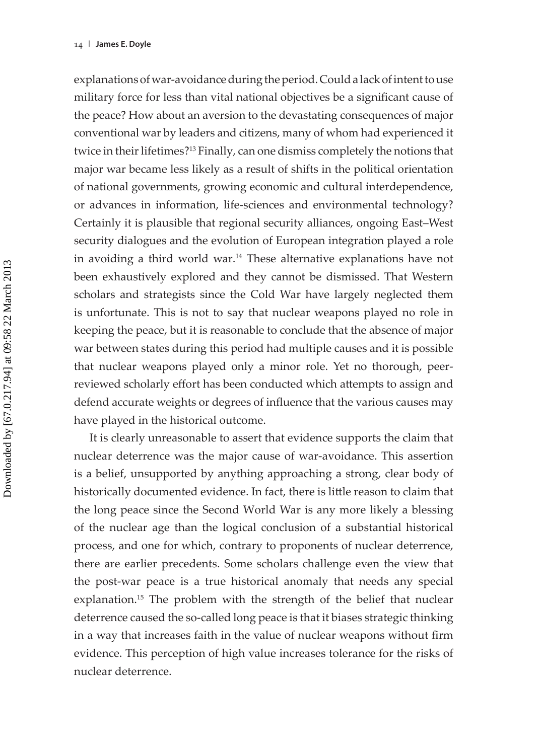explanations of war-avoidance during the period. Could a lack of intent to use military force for less than vital national objectives be a significant cause of the peace? How about an aversion to the devastating consequences of major conventional war by leaders and citizens, many of whom had experienced it twice in their lifetimes?<sup>13</sup> Finally, can one dismiss completely the notions that major war became less likely as a result of shifts in the political orientation of national governments, growing economic and cultural interdependence, or advances in information, life-sciences and environmental technology? Certainly it is plausible that regional security alliances, ongoing East–West security dialogues and the evolution of European integration played a role in avoiding a third world war.<sup>14</sup> These alternative explanations have not been exhaustively explored and they cannot be dismissed. That Western scholars and strategists since the Cold War have largely neglected them is unfortunate. This is not to say that nuclear weapons played no role in keeping the peace, but it is reasonable to conclude that the absence of major war between states during this period had multiple causes and it is possible that nuclear weapons played only a minor role. Yet no thorough, peerreviewed scholarly effort has been conducted which attempts to assign and defend accurate weights or degrees of influence that the various causes may have played in the historical outcome.

It is clearly unreasonable to assert that evidence supports the claim that nuclear deterrence was the major cause of war-avoidance. This assertion is a belief, unsupported by anything approaching a strong, clear body of historically documented evidence. In fact, there is little reason to claim that the long peace since the Second World War is any more likely a blessing of the nuclear age than the logical conclusion of a substantial historical process, and one for which, contrary to proponents of nuclear deterrence, there are earlier precedents. Some scholars challenge even the view that the post-war peace is a true historical anomaly that needs any special explanation.<sup>15</sup> The problem with the strength of the belief that nuclear deterrence caused the so-called long peace is that it biases strategic thinking in a way that increases faith in the value of nuclear weapons without firm evidence. This perception of high value increases tolerance for the risks of nuclear deterrence.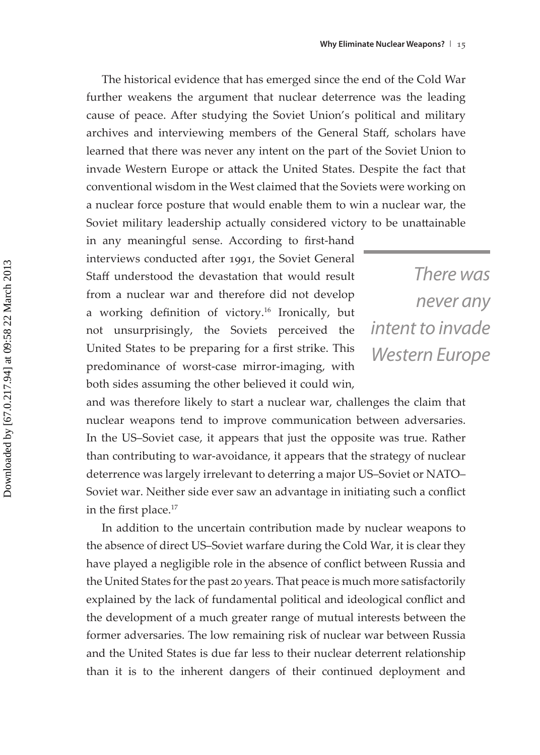The historical evidence that has emerged since the end of the Cold War further weakens the argument that nuclear deterrence was the leading cause of peace. After studying the Soviet Union's political and military archives and interviewing members of the General Staff, scholars have learned that there was never any intent on the part of the Soviet Union to invade Western Europe or attack the United States. Despite the fact that conventional wisdom in the West claimed that the Soviets were working on a nuclear force posture that would enable them to win a nuclear war, the Soviet military leadership actually considered victory to be unattainable

in any meaningful sense. According to first-hand interviews conducted after 1991, the Soviet General Staff understood the devastation that would result from a nuclear war and therefore did not develop a working definition of victory.<sup>16</sup> Ironically, but not unsurprisingly, the Soviets perceived the United States to be preparing for a first strike. This predominance of worst-case mirror-imaging, with both sides assuming the other believed it could win,

*There was never any intent to invade Western Europe*

and was therefore likely to start a nuclear war, challenges the claim that nuclear weapons tend to improve communication between adversaries. In the US–Soviet case, it appears that just the opposite was true. Rather than contributing to war-avoidance, it appears that the strategy of nuclear deterrence was largely irrelevant to deterring a major US–Soviet or NATO– Soviet war. Neither side ever saw an advantage in initiating such a conflict in the first place.<sup>17</sup>

In addition to the uncertain contribution made by nuclear weapons to the absence of direct US–Soviet warfare during the Cold War, it is clear they have played a negligible role in the absence of conflict between Russia and the United States for the past 20 years. That peace is much more satisfactorily explained by the lack of fundamental political and ideological conflict and the development of a much greater range of mutual interests between the former adversaries. The low remaining risk of nuclear war between Russia and the United States is due far less to their nuclear deterrent relationship than it is to the inherent dangers of their continued deployment and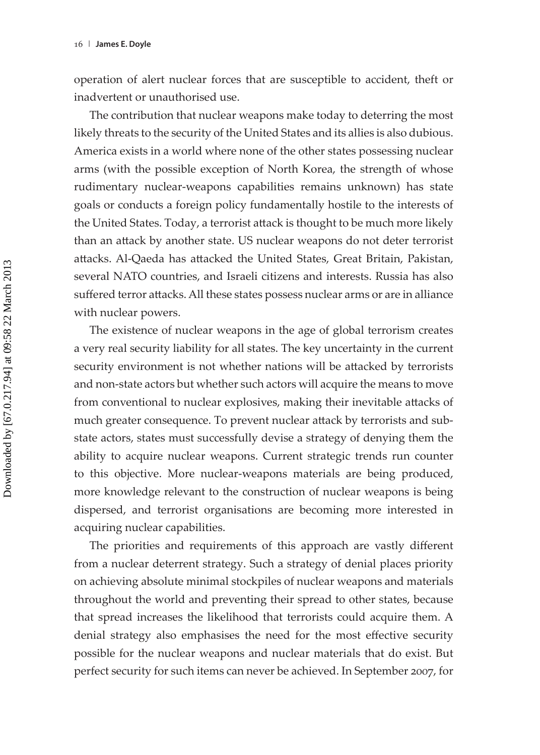operation of alert nuclear forces that are susceptible to accident, theft or inadvertent or unauthorised use.

The contribution that nuclear weapons make today to deterring the most likely threats to the security of the United States and its allies is also dubious. America exists in a world where none of the other states possessing nuclear arms (with the possible exception of North Korea, the strength of whose rudimentary nuclear-weapons capabilities remains unknown) has state goals or conducts a foreign policy fundamentally hostile to the interests of the United States. Today, a terrorist attack is thought to be much more likely than an attack by another state. US nuclear weapons do not deter terrorist attacks. Al-Qaeda has attacked the United States, Great Britain, Pakistan, several NATO countries, and Israeli citizens and interests. Russia has also suffered terror attacks. All these states possess nuclear arms or are in alliance with nuclear powers.

The existence of nuclear weapons in the age of global terrorism creates a very real security liability for all states. The key uncertainty in the current security environment is not whether nations will be attacked by terrorists and non-state actors but whether such actors will acquire the means to move from conventional to nuclear explosives, making their inevitable attacks of much greater consequence. To prevent nuclear attack by terrorists and substate actors, states must successfully devise a strategy of denying them the ability to acquire nuclear weapons. Current strategic trends run counter to this objective. More nuclear-weapons materials are being produced, more knowledge relevant to the construction of nuclear weapons is being dispersed, and terrorist organisations are becoming more interested in acquiring nuclear capabilities.

The priorities and requirements of this approach are vastly different from a nuclear deterrent strategy. Such a strategy of denial places priority on achieving absolute minimal stockpiles of nuclear weapons and materials throughout the world and preventing their spread to other states, because that spread increases the likelihood that terrorists could acquire them. A denial strategy also emphasises the need for the most effective security possible for the nuclear weapons and nuclear materials that do exist. But perfect security for such items can never be achieved. In September 2007, for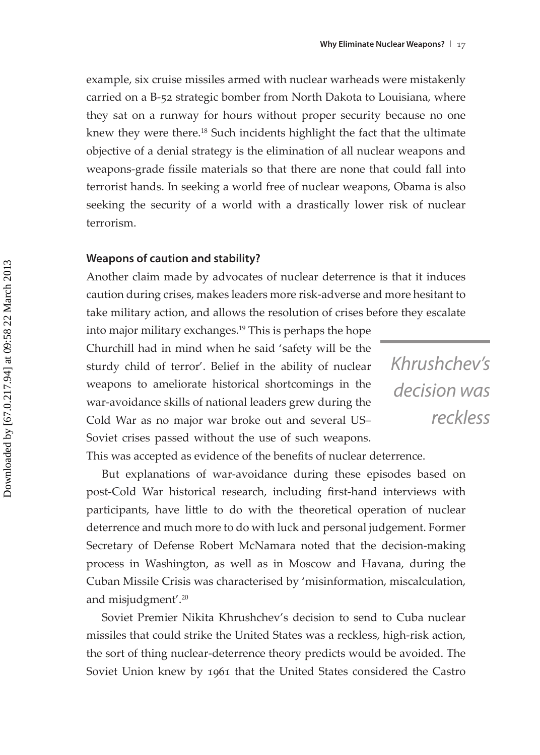example, six cruise missiles armed with nuclear warheads were mistakenly carried on a B-52 strategic bomber from North Dakota to Louisiana, where they sat on a runway for hours without proper security because no one knew they were there.<sup>18</sup> Such incidents highlight the fact that the ultimate objective of a denial strategy is the elimination of all nuclear weapons and weapons-grade fissile materials so that there are none that could fall into terrorist hands. In seeking a world free of nuclear weapons, Obama is also seeking the security of a world with a drastically lower risk of nuclear terrorism.

#### **Weapons of caution and stability?**

Another claim made by advocates of nuclear deterrence is that it induces caution during crises, makes leaders more risk-adverse and more hesitant to take military action, and allows the resolution of crises before they escalate

into major military exchanges.<sup>19</sup> This is perhaps the hope Churchill had in mind when he said 'safety will be the sturdy child of terror'. Belief in the ability of nuclear weapons to ameliorate historical shortcomings in the war-avoidance skills of national leaders grew during the Cold War as no major war broke out and several US– Soviet crises passed without the use of such weapons.

*Khrushchev's decision was reckless*

This was accepted as evidence of the benefits of nuclear deterrence.

But explanations of war-avoidance during these episodes based on post-Cold War historical research, including first-hand interviews with participants, have little to do with the theoretical operation of nuclear deterrence and much more to do with luck and personal judgement. Former Secretary of Defense Robert McNamara noted that the decision-making process in Washington, as well as in Moscow and Havana, during the Cuban Missile Crisis was characterised by 'misinformation, miscalculation, and misjudgment'.<sup>20</sup>

Soviet Premier Nikita Khrushchev's decision to send to Cuba nuclear missiles that could strike the United States was a reckless, high-risk action, the sort of thing nuclear-deterrence theory predicts would be avoided. The Soviet Union knew by 1961 that the United States considered the Castro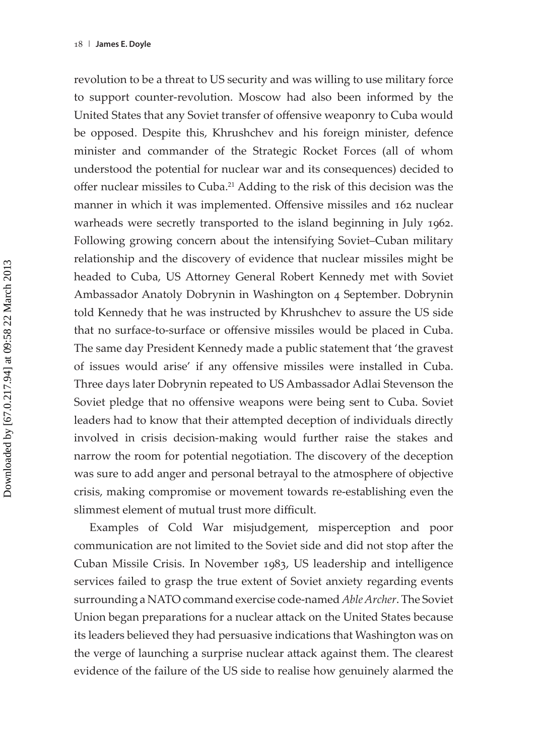revolution to be a threat to US security and was willing to use military force to support counter-revolution. Moscow had also been informed by the United States that any Soviet transfer of offensive weaponry to Cuba would be opposed. Despite this, Khrushchev and his foreign minister, defence minister and commander of the Strategic Rocket Forces (all of whom understood the potential for nuclear war and its consequences) decided to offer nuclear missiles to Cuba.<sup>21</sup> Adding to the risk of this decision was the manner in which it was implemented. Offensive missiles and 162 nuclear warheads were secretly transported to the island beginning in July 1962. Following growing concern about the intensifying Soviet–Cuban military relationship and the discovery of evidence that nuclear missiles might be headed to Cuba, US Attorney General Robert Kennedy met with Soviet Ambassador Anatoly Dobrynin in Washington on 4 September. Dobrynin told Kennedy that he was instructed by Khrushchev to assure the US side that no surface-to-surface or offensive missiles would be placed in Cuba. The same day President Kennedy made a public statement that 'the gravest of issues would arise' if any offensive missiles were installed in Cuba. Three days later Dobrynin repeated to US Ambassador Adlai Stevenson the Soviet pledge that no offensive weapons were being sent to Cuba. Soviet leaders had to know that their attempted deception of individuals directly involved in crisis decision-making would further raise the stakes and narrow the room for potential negotiation. The discovery of the deception was sure to add anger and personal betrayal to the atmosphere of objective crisis, making compromise or movement towards re-establishing even the slimmest element of mutual trust more difficult.

Examples of Cold War misjudgement, misperception and poor communication are not limited to the Soviet side and did not stop after the Cuban Missile Crisis. In November 1983, US leadership and intelligence services failed to grasp the true extent of Soviet anxiety regarding events surrounding a NATO command exercise code-named *Able Archer*. The Soviet Union began preparations for a nuclear attack on the United States because its leaders believed they had persuasive indications that Washington was on the verge of launching a surprise nuclear attack against them. The clearest evidence of the failure of the US side to realise how genuinely alarmed the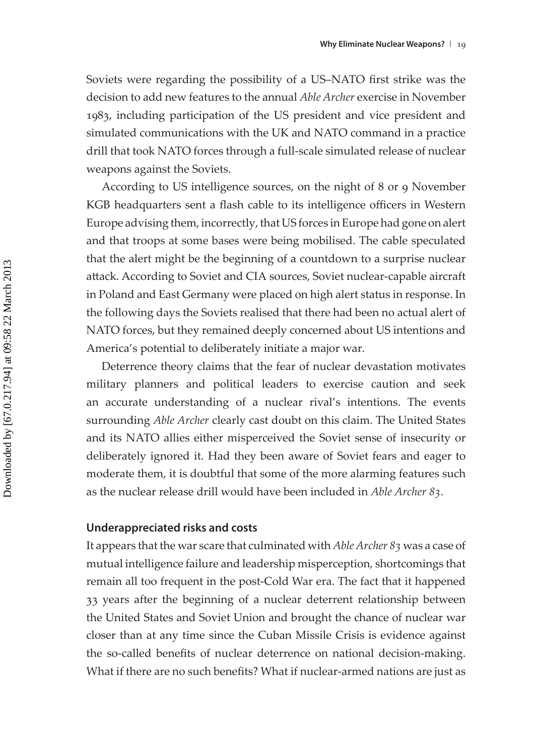Soviets were regarding the possibility of a US–NATO first strike was the decision to add new features to the annual *Able Archer* exercise in November 1983, including participation of the US president and vice president and simulated communications with the UK and NATO command in a practice drill that took NATO forces through a full-scale simulated release of nuclear weapons against the Soviets.

According to US intelligence sources, on the night of 8 or 9 November KGB headquarters sent a flash cable to its intelligence officers in Western Europe advising them, incorrectly, that US forces in Europe had gone on alert and that troops at some bases were being mobilised. The cable speculated that the alert might be the beginning of a countdown to a surprise nuclear attack. According to Soviet and CIA sources, Soviet nuclear-capable aircraft in Poland and East Germany were placed on high alert status in response. In the following days the Soviets realised that there had been no actual alert of NATO forces, but they remained deeply concerned about US intentions and America's potential to deliberately initiate a major war.

Deterrence theory claims that the fear of nuclear devastation motivates military planners and political leaders to exercise caution and seek an accurate understanding of a nuclear rival's intentions. The events surrounding *Able Archer* clearly cast doubt on this claim. The United States and its NATO allies either misperceived the Soviet sense of insecurity or deliberately ignored it. Had they been aware of Soviet fears and eager to moderate them, it is doubtful that some of the more alarming features such as the nuclear release drill would have been included in *Able Archer 83*.

#### **Underappreciated risks and costs**

It appears that the war scare that culminated with *Able Archer 83* was a case of mutual intelligence failure and leadership misperception, shortcomings that remain all too frequent in the post-Cold War era. The fact that it happened 33 years after the beginning of a nuclear deterrent relationship between the United States and Soviet Union and brought the chance of nuclear war closer than at any time since the Cuban Missile Crisis is evidence against the so-called benefits of nuclear deterrence on national decision-making. What if there are no such benefits? What if nuclear-armed nations are just as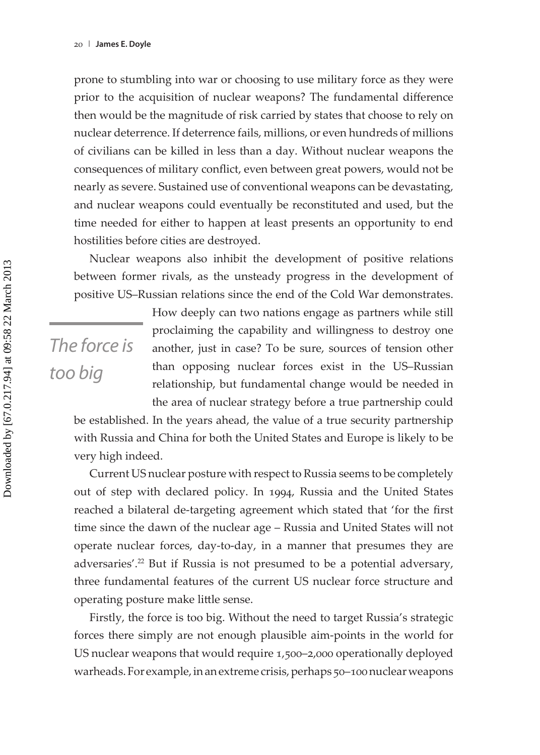prone to stumbling into war or choosing to use military force as they were prior to the acquisition of nuclear weapons? The fundamental difference then would be the magnitude of risk carried by states that choose to rely on nuclear deterrence. If deterrence fails, millions, or even hundreds of millions of civilians can be killed in less than a day. Without nuclear weapons the consequences of military conflict, even between great powers, would not be nearly as severe. Sustained use of conventional weapons can be devastating, and nuclear weapons could eventually be reconstituted and used, but the time needed for either to happen at least presents an opportunity to end hostilities before cities are destroyed.

Nuclear weapons also inhibit the development of positive relations between former rivals, as the unsteady progress in the development of positive US–Russian relations since the end of the Cold War demonstrates.

# *The force is too big*

How deeply can two nations engage as partners while still proclaiming the capability and willingness to destroy one another, just in case? To be sure, sources of tension other than opposing nuclear forces exist in the US–Russian relationship, but fundamental change would be needed in the area of nuclear strategy before a true partnership could

be established. In the years ahead, the value of a true security partnership with Russia and China for both the United States and Europe is likely to be very high indeed.

Current US nuclear posture with respect to Russia seems to be completely out of step with declared policy. In 1994, Russia and the United States reached a bilateral de-targeting agreement which stated that 'for the first time since the dawn of the nuclear age – Russia and United States will not operate nuclear forces, day-to-day, in a manner that presumes they are adversaries'.<sup>22</sup> But if Russia is not presumed to be a potential adversary, three fundamental features of the current US nuclear force structure and operating posture make little sense.

Firstly, the force is too big. Without the need to target Russia's strategic forces there simply are not enough plausible aim-points in the world for US nuclear weapons that would require 1,500–2,000 operationally deployed warheads. For example, in an extreme crisis, perhaps 50–100 nuclear weapons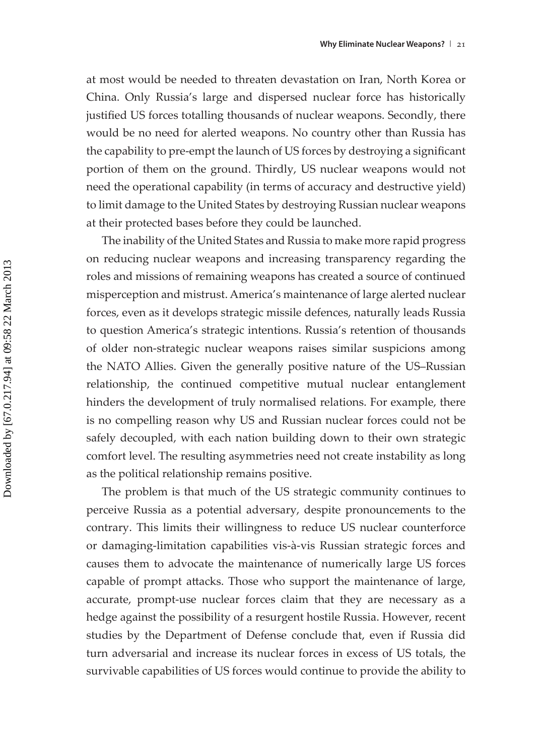at most would be needed to threaten devastation on Iran, North Korea or China. Only Russia's large and dispersed nuclear force has historically justified US forces totalling thousands of nuclear weapons. Secondly, there would be no need for alerted weapons. No country other than Russia has the capability to pre-empt the launch of US forces by destroying a significant portion of them on the ground. Thirdly, US nuclear weapons would not need the operational capability (in terms of accuracy and destructive yield) to limit damage to the United States by destroying Russian nuclear weapons at their protected bases before they could be launched.

The inability of the United States and Russia to make more rapid progress on reducing nuclear weapons and increasing transparency regarding the roles and missions of remaining weapons has created a source of continued misperception and mistrust. America's maintenance of large alerted nuclear forces, even as it develops strategic missile defences, naturally leads Russia to question America's strategic intentions. Russia's retention of thousands of older non-strategic nuclear weapons raises similar suspicions among the NATO Allies. Given the generally positive nature of the US–Russian relationship, the continued competitive mutual nuclear entanglement hinders the development of truly normalised relations. For example, there is no compelling reason why US and Russian nuclear forces could not be safely decoupled, with each nation building down to their own strategic comfort level. The resulting asymmetries need not create instability as long as the political relationship remains positive.

The problem is that much of the US strategic community continues to perceive Russia as a potential adversary, despite pronouncements to the contrary. This limits their willingness to reduce US nuclear counterforce or damaging-limitation capabilities vis-à-vis Russian strategic forces and causes them to advocate the maintenance of numerically large US forces capable of prompt attacks. Those who support the maintenance of large, accurate, prompt-use nuclear forces claim that they are necessary as a hedge against the possibility of a resurgent hostile Russia. However, recent studies by the Department of Defense conclude that, even if Russia did turn adversarial and increase its nuclear forces in excess of US totals, the survivable capabilities of US forces would continue to provide the ability to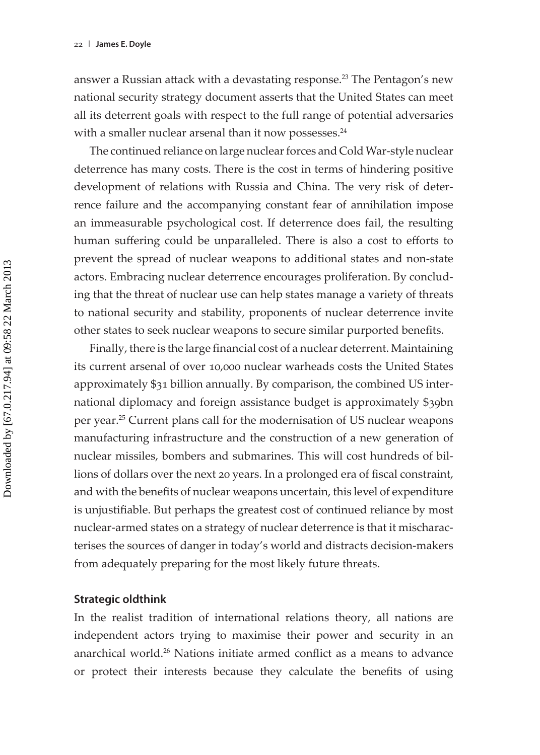answer a Russian attack with a devastating response.<sup>23</sup> The Pentagon's new national security strategy document asserts that the United States can meet all its deterrent goals with respect to the full range of potential adversaries with a smaller nuclear arsenal than it now possesses.<sup>24</sup>

The continued reliance on large nuclear forces and Cold War-style nuclear deterrence has many costs. There is the cost in terms of hindering positive development of relations with Russia and China. The very risk of deterrence failure and the accompanying constant fear of annihilation impose an immeasurable psychological cost. If deterrence does fail, the resulting human suffering could be unparalleled. There is also a cost to efforts to prevent the spread of nuclear weapons to additional states and non-state actors. Embracing nuclear deterrence encourages proliferation. By concluding that the threat of nuclear use can help states manage a variety of threats to national security and stability, proponents of nuclear deterrence invite other states to seek nuclear weapons to secure similar purported benefits.

Finally, there is the large financial cost of a nuclear deterrent. Maintaining its current arsenal of over 10,000 nuclear warheads costs the United States approximately \$31 billion annually. By comparison, the combined US international diplomacy and foreign assistance budget is approximately \$39bn per year.<sup>25</sup> Current plans call for the modernisation of US nuclear weapons manufacturing infrastructure and the construction of a new generation of nuclear missiles, bombers and submarines. This will cost hundreds of billions of dollars over the next 20 years. In a prolonged era of fiscal constraint, and with the benefits of nuclear weapons uncertain, this level of expenditure is unjustifiable. But perhaps the greatest cost of continued reliance by most nuclear-armed states on a strategy of nuclear deterrence is that it mischaracterises the sources of danger in today's world and distracts decision-makers from adequately preparing for the most likely future threats.

#### **Strategic oldthink**

In the realist tradition of international relations theory, all nations are independent actors trying to maximise their power and security in an anarchical world.<sup>26</sup> Nations initiate armed conflict as a means to advance or protect their interests because they calculate the benefits of using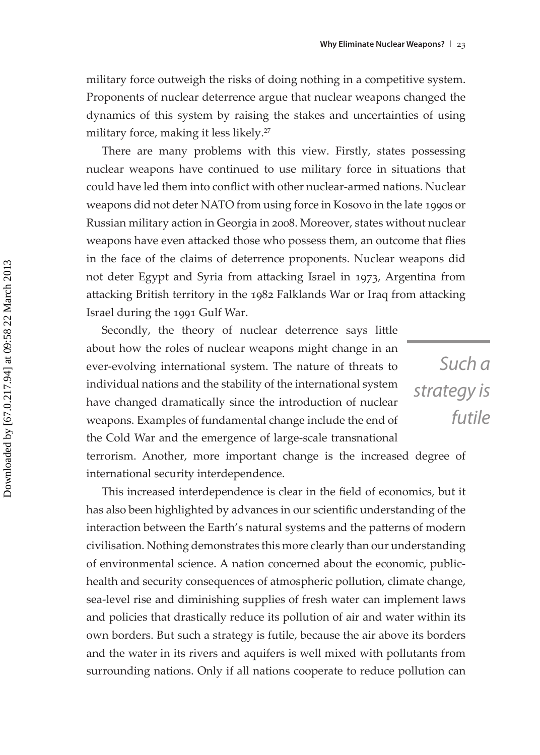military force outweigh the risks of doing nothing in a competitive system. Proponents of nuclear deterrence argue that nuclear weapons changed the dynamics of this system by raising the stakes and uncertainties of using military force, making it less likely.<sup>27</sup>

There are many problems with this view. Firstly, states possessing nuclear weapons have continued to use military force in situations that could have led them into conflict with other nuclear-armed nations. Nuclear weapons did not deter NATO from using force in Kosovo in the late 1990s or Russian military action in Georgia in 2008. Moreover, states without nuclear weapons have even attacked those who possess them, an outcome that flies in the face of the claims of deterrence proponents. Nuclear weapons did not deter Egypt and Syria from attacking Israel in 1973, Argentina from attacking British territory in the 1982 Falklands War or Iraq from attacking Israel during the 1991 Gulf War.

Secondly, the theory of nuclear deterrence says little about how the roles of nuclear weapons might change in an ever-evolving international system. The nature of threats to individual nations and the stability of the international system have changed dramatically since the introduction of nuclear weapons. Examples of fundamental change include the end of the Cold War and the emergence of large-scale transnational

*Such a strategy is futile*

terrorism. Another, more important change is the increased degree of international security interdependence.

This increased interdependence is clear in the field of economics, but it has also been highlighted by advances in our scientific understanding of the interaction between the Earth's natural systems and the patterns of modern civilisation. Nothing demonstrates this more clearly than our understanding of environmental science. A nation concerned about the economic, publichealth and security consequences of atmospheric pollution, climate change, sea-level rise and diminishing supplies of fresh water can implement laws and policies that drastically reduce its pollution of air and water within its own borders. But such a strategy is futile, because the air above its borders and the water in its rivers and aquifers is well mixed with pollutants from surrounding nations. Only if all nations cooperate to reduce pollution can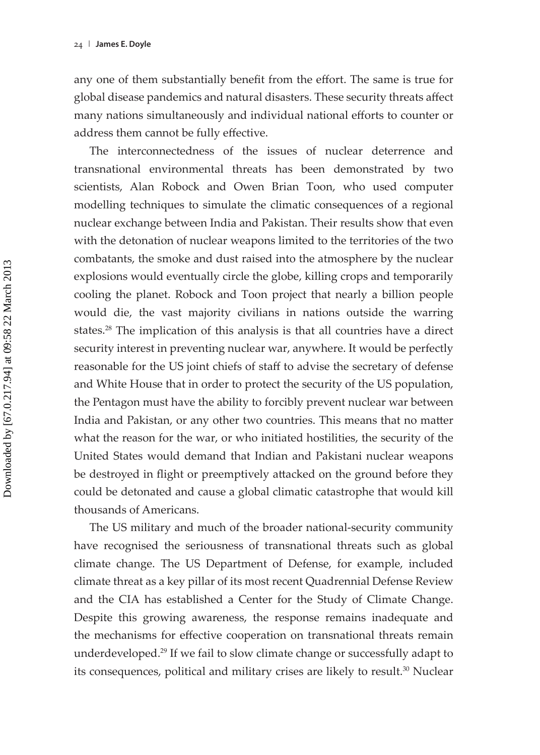any one of them substantially benefit from the effort. The same is true for global disease pandemics and natural disasters. These security threats affect many nations simultaneously and individual national efforts to counter or address them cannot be fully effective.

The interconnectedness of the issues of nuclear deterrence and transnational environmental threats has been demonstrated by two scientists, Alan Robock and Owen Brian Toon, who used computer modelling techniques to simulate the climatic consequences of a regional nuclear exchange between India and Pakistan. Their results show that even with the detonation of nuclear weapons limited to the territories of the two combatants, the smoke and dust raised into the atmosphere by the nuclear explosions would eventually circle the globe, killing crops and temporarily cooling the planet. Robock and Toon project that nearly a billion people would die, the vast majority civilians in nations outside the warring states.<sup>28</sup> The implication of this analysis is that all countries have a direct security interest in preventing nuclear war, anywhere. It would be perfectly reasonable for the US joint chiefs of staff to advise the secretary of defense and White House that in order to protect the security of the US population, the Pentagon must have the ability to forcibly prevent nuclear war between India and Pakistan, or any other two countries. This means that no matter what the reason for the war, or who initiated hostilities, the security of the United States would demand that Indian and Pakistani nuclear weapons be destroyed in flight or preemptively attacked on the ground before they could be detonated and cause a global climatic catastrophe that would kill thousands of Americans.

The US military and much of the broader national-security community have recognised the seriousness of transnational threats such as global climate change. The US Department of Defense, for example, included climate threat as a key pillar of its most recent Quadrennial Defense Review and the CIA has established a Center for the Study of Climate Change. Despite this growing awareness, the response remains inadequate and the mechanisms for effective cooperation on transnational threats remain underdeveloped.<sup>29</sup> If we fail to slow climate change or successfully adapt to its consequences, political and military crises are likely to result.<sup>30</sup> Nuclear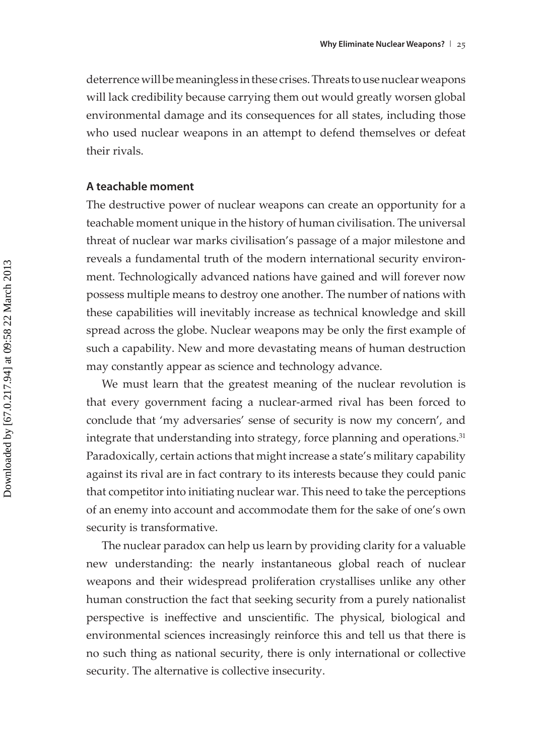deterrence will be meaningless in these crises. Threats to use nuclear weapons will lack credibility because carrying them out would greatly worsen global environmental damage and its consequences for all states, including those who used nuclear weapons in an attempt to defend themselves or defeat their rivals.

#### **A teachable moment**

The destructive power of nuclear weapons can create an opportunity for a teachable moment unique in the history of human civilisation. The universal threat of nuclear war marks civilisation's passage of a major milestone and reveals a fundamental truth of the modern international security environment. Technologically advanced nations have gained and will forever now possess multiple means to destroy one another. The number of nations with these capabilities will inevitably increase as technical knowledge and skill spread across the globe. Nuclear weapons may be only the first example of such a capability. New and more devastating means of human destruction may constantly appear as science and technology advance.

We must learn that the greatest meaning of the nuclear revolution is that every government facing a nuclear-armed rival has been forced to conclude that 'my adversaries' sense of security is now my concern', and integrate that understanding into strategy, force planning and operations.<sup>31</sup> Paradoxically, certain actions that might increase a state's military capability against its rival are in fact contrary to its interests because they could panic that competitor into initiating nuclear war. This need to take the perceptions of an enemy into account and accommodate them for the sake of one's own security is transformative.

The nuclear paradox can help us learn by providing clarity for a valuable new understanding: the nearly instantaneous global reach of nuclear weapons and their widespread proliferation crystallises unlike any other human construction the fact that seeking security from a purely nationalist perspective is ineffective and unscientific. The physical, biological and environmental sciences increasingly reinforce this and tell us that there is no such thing as national security, there is only international or collective security. The alternative is collective insecurity.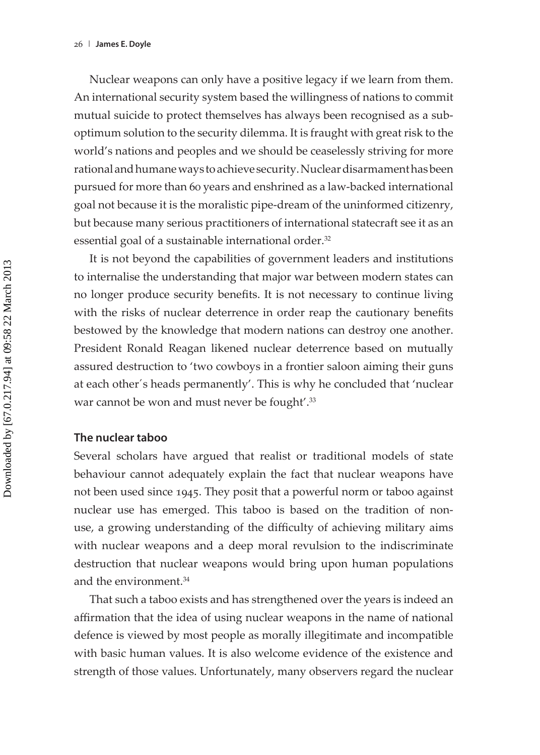Nuclear weapons can only have a positive legacy if we learn from them. An international security system based the willingness of nations to commit mutual suicide to protect themselves has always been recognised as a suboptimum solution to the security dilemma. It is fraught with great risk to the world's nations and peoples and we should be ceaselessly striving for more rational and humane ways to achieve security. Nuclear disarmament has been pursued for more than 60 years and enshrined as a law-backed international goal not because it is the moralistic pipe-dream of the uninformed citizenry, but because many serious practitioners of international statecraft see it as an essential goal of a sustainable international order.<sup>32</sup>

It is not beyond the capabilities of government leaders and institutions to internalise the understanding that major war between modern states can no longer produce security benefits. It is not necessary to continue living with the risks of nuclear deterrence in order reap the cautionary benefits bestowed by the knowledge that modern nations can destroy one another. President Ronald Reagan likened nuclear deterrence based on mutually assured destruction to 'two cowboys in a frontier saloon aiming their guns at each other´s heads permanently'. This is why he concluded that 'nuclear war cannot be won and must never be fought'.<sup>33</sup>

#### **The nuclear taboo**

Several scholars have argued that realist or traditional models of state behaviour cannot adequately explain the fact that nuclear weapons have not been used since 1945. They posit that a powerful norm or taboo against nuclear use has emerged. This taboo is based on the tradition of nonuse, a growing understanding of the difficulty of achieving military aims with nuclear weapons and a deep moral revulsion to the indiscriminate destruction that nuclear weapons would bring upon human populations and the environment.<sup>34</sup>

That such a taboo exists and has strengthened over the years is indeed an affirmation that the idea of using nuclear weapons in the name of national defence is viewed by most people as morally illegitimate and incompatible with basic human values. It is also welcome evidence of the existence and strength of those values. Unfortunately, many observers regard the nuclear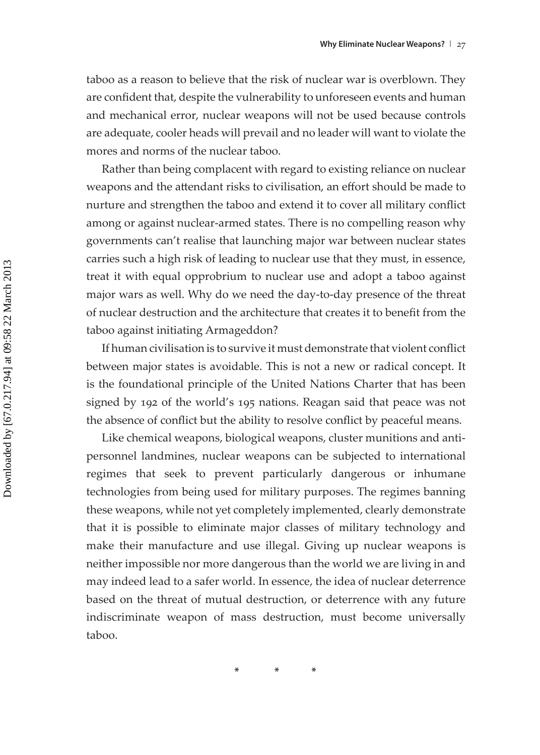taboo as a reason to believe that the risk of nuclear war is overblown. They are confident that, despite the vulnerability to unforeseen events and human and mechanical error, nuclear weapons will not be used because controls are adequate, cooler heads will prevail and no leader will want to violate the mores and norms of the nuclear taboo.

Rather than being complacent with regard to existing reliance on nuclear weapons and the attendant risks to civilisation, an effort should be made to nurture and strengthen the taboo and extend it to cover all military conflict among or against nuclear-armed states. There is no compelling reason why governments can't realise that launching major war between nuclear states carries such a high risk of leading to nuclear use that they must, in essence, treat it with equal opprobrium to nuclear use and adopt a taboo against major wars as well. Why do we need the day-to-day presence of the threat of nuclear destruction and the architecture that creates it to benefit from the taboo against initiating Armageddon?

If human civilisation is to survive it must demonstrate that violent conflict between major states is avoidable. This is not a new or radical concept. It is the foundational principle of the United Nations Charter that has been signed by 192 of the world's 195 nations. Reagan said that peace was not the absence of conflict but the ability to resolve conflict by peaceful means.

Like chemical weapons, biological weapons, cluster munitions and antipersonnel landmines, nuclear weapons can be subjected to international regimes that seek to prevent particularly dangerous or inhumane technologies from being used for military purposes. The regimes banning these weapons, while not yet completely implemented, clearly demonstrate that it is possible to eliminate major classes of military technology and make their manufacture and use illegal. Giving up nuclear weapons is neither impossible nor more dangerous than the world we are living in and may indeed lead to a safer world. In essence, the idea of nuclear deterrence based on the threat of mutual destruction, or deterrence with any future indiscriminate weapon of mass destruction, must become universally taboo.

**\* \* \***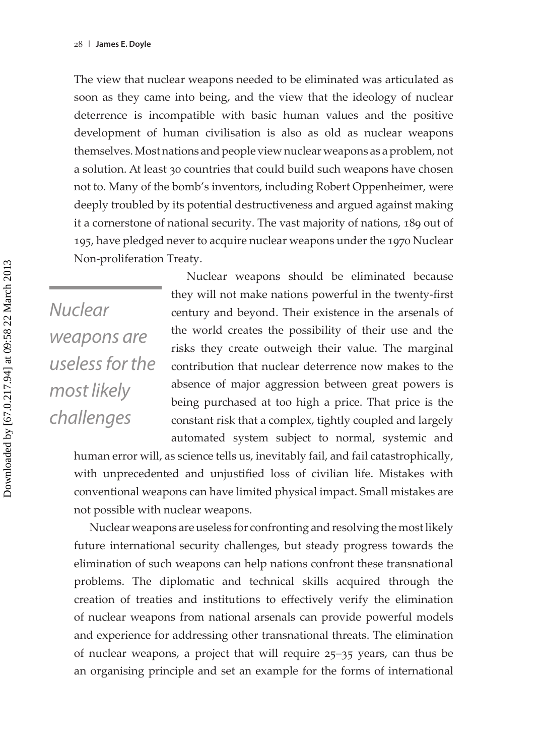The view that nuclear weapons needed to be eliminated was articulated as soon as they came into being, and the view that the ideology of nuclear deterrence is incompatible with basic human values and the positive development of human civilisation is also as old as nuclear weapons themselves. Most nations and people view nuclear weapons as a problem, not a solution. At least 30 countries that could build such weapons have chosen not to. Many of the bomb's inventors, including Robert Oppenheimer, were deeply troubled by its potential destructiveness and argued against making it a cornerstone of national security. The vast majority of nations, 189 out of 195, have pledged never to acquire nuclear weapons under the 1970 Nuclear Non-proliferation Treaty.

*Nuclear weapons are useless for the most likely challenges*

Nuclear weapons should be eliminated because they will not make nations powerful in the twenty-first century and beyond. Their existence in the arsenals of the world creates the possibility of their use and the risks they create outweigh their value. The marginal contribution that nuclear deterrence now makes to the absence of major aggression between great powers is being purchased at too high a price. That price is the constant risk that a complex, tightly coupled and largely automated system subject to normal, systemic and

human error will, as science tells us, inevitably fail, and fail catastrophically, with unprecedented and unjustified loss of civilian life. Mistakes with conventional weapons can have limited physical impact. Small mistakes are not possible with nuclear weapons.

Nuclear weapons are useless for confronting and resolving the most likely future international security challenges, but steady progress towards the elimination of such weapons can help nations confront these transnational problems. The diplomatic and technical skills acquired through the creation of treaties and institutions to effectively verify the elimination of nuclear weapons from national arsenals can provide powerful models and experience for addressing other transnational threats. The elimination of nuclear weapons, a project that will require 25–35 years, can thus be an organising principle and set an example for the forms of international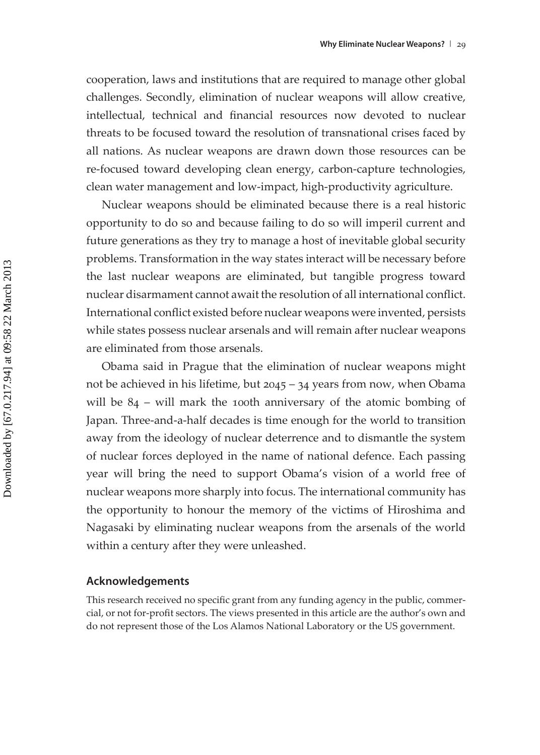cooperation, laws and institutions that are required to manage other global challenges. Secondly, elimination of nuclear weapons will allow creative, intellectual, technical and financial resources now devoted to nuclear threats to be focused toward the resolution of transnational crises faced by all nations. As nuclear weapons are drawn down those resources can be re-focused toward developing clean energy, carbon-capture technologies, clean water management and low-impact, high-productivity agriculture.

Nuclear weapons should be eliminated because there is a real historic opportunity to do so and because failing to do so will imperil current and future generations as they try to manage a host of inevitable global security problems. Transformation in the way states interact will be necessary before the last nuclear weapons are eliminated, but tangible progress toward nuclear disarmament cannot await the resolution of all international conflict. International conflict existed before nuclear weapons were invented, persists while states possess nuclear arsenals and will remain after nuclear weapons are eliminated from those arsenals.

Obama said in Prague that the elimination of nuclear weapons might not be achieved in his lifetime, but 2045 – 34 years from now, when Obama will be  $84$  – will mark the 100th anniversary of the atomic bombing of Japan. Three-and-a-half decades is time enough for the world to transition away from the ideology of nuclear deterrence and to dismantle the system of nuclear forces deployed in the name of national defence. Each passing year will bring the need to support Obama's vision of a world free of nuclear weapons more sharply into focus. The international community has the opportunity to honour the memory of the victims of Hiroshima and Nagasaki by eliminating nuclear weapons from the arsenals of the world within a century after they were unleashed.

#### **Acknowledgements**

This research received no specific grant from any funding agency in the public, commercial, or not for-profit sectors. The views presented in this article are the author's own and do not represent those of the Los Alamos National Laboratory or the US government.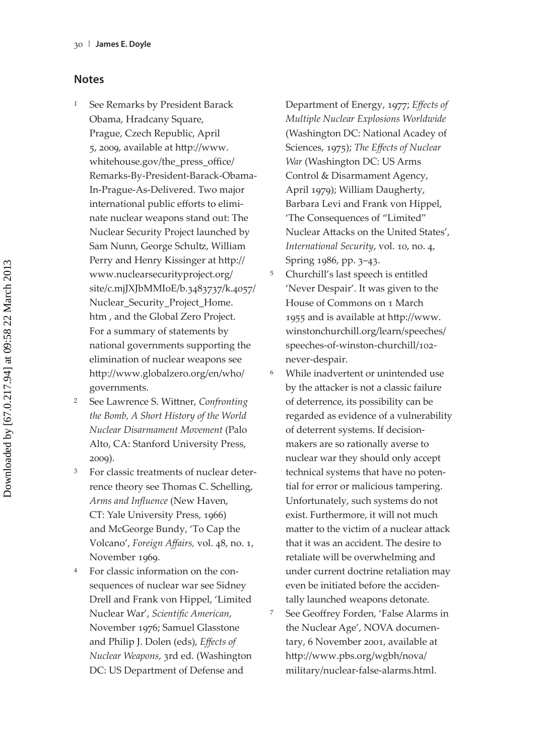### **Notes**

- <sup>1</sup> See Remarks by President Barack Obama, Hradcany Square, Prague, Czech Republic, April 5, 2009, available at http://www. whitehouse.gov/the\_press\_office/ Remarks-By-President-Barack-Obama-In-Prague-As-Delivered. Two major international public efforts to eliminate nuclear weapons stand out: The Nuclear Security Project launched by Sam Nunn, George Schultz, William Perry and Henry Kissinger at http:// www.nuclearsecurityproject.org/ site/c.mjJXJbMMIoE/b.3483737/k.4057/ Nuclear\_Security\_Project\_Home. htm , and the Global Zero Project. For a summary of statements by national governments supporting the elimination of nuclear weapons see http://www.globalzero.org/en/who/ governments.
- <sup>2</sup> See Lawrence S. Wittner, *Confronting the Bomb, A Short History of the World Nuclear Disarmament Movement* (Palo Alto, CA: Stanford University Press, 2009).
- <sup>3</sup> For classic treatments of nuclear deterrence theory see Thomas C. Schelling, *Arms and Influence* (New Haven, CT: Yale University Press, 1966) and McGeorge Bundy, 'To Cap the Volcano', *Foreign Affairs,* vol. 48, no. 1, November 1969.
- <sup>4</sup> For classic information on the consequences of nuclear war see Sidney Drell and Frank von Hippel, 'Limited Nuclear War', *Scientific American*, November 1976; Samuel Glasstone and Philip J. Dolen (eds), *Effects of Nuclear Weapons*, 3rd ed. (Washington DC: US Department of Defense and

Department of Energy, 1977; *Effects of Multiple Nuclear Explosions Worldwide* (Washington DC: National Acadey of Sciences, 1975); *The Effects of Nuclear War* (Washington DC: US Arms Control & Disarmament Agency, April 1979); William Daugherty, Barbara Levi and Frank von Hippel, 'The Consequences of "Limited" Nuclear Attacks on the United States', *International Security*, vol. 10, no. 4, Spring 1986, pp. 3–43.

- <sup>5</sup> Churchill's last speech is entitled 'Never Despair'. It was given to the House of Commons on 1 March 1955 and is available at http://www. winstonchurchill.org/learn/speeches/ speeches-of-winston-churchill/102 never-despair.
- <sup>6</sup> While inadvertent or unintended use by the attacker is not a classic failure of deterrence, its possibility can be regarded as evidence of a vulnerability of deterrent systems. If decisionmakers are so rationally averse to nuclear war they should only accept technical systems that have no potential for error or malicious tampering. Unfortunately, such systems do not exist. Furthermore, it will not much matter to the victim of a nuclear attack that it was an accident. The desire to retaliate will be overwhelming and under current doctrine retaliation may even be initiated before the accidentally launched weapons detonate. <sup>7</sup> See Geoffrey Forden, 'False Alarms in the Nuclear Age', NOVA documentary, 6 November 2001, available at http://www.pbs.org/wgbh/nova/ military/nuclear-false-alarms.html.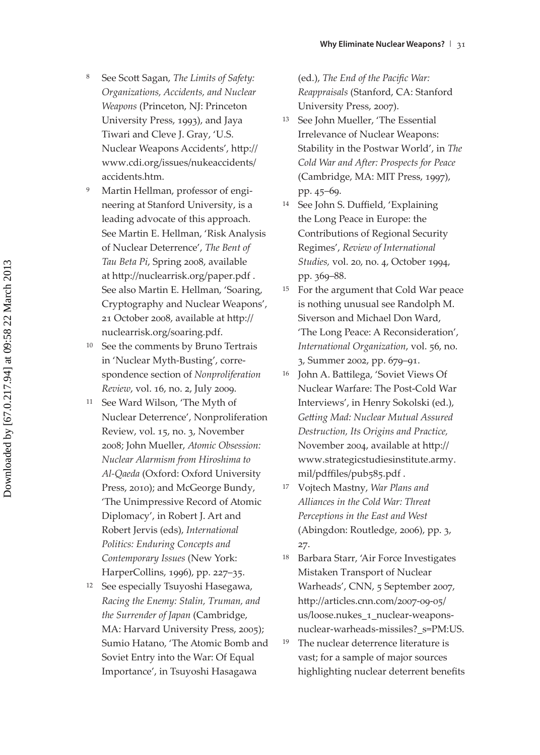- <sup>8</sup> See Scott Sagan, *The Limits of Safety: Organizations, Accidents, and Nuclear Weapons* (Princeton, NJ: Princeton University Press, 1993), and Jaya Tiwari and Cleve J. Gray, 'U.S. Nuclear Weapons Accidents', http:// www.cdi.org/issues/nukeaccidents/ accidents.htm.
- Martin Hellman, professor of engineering at Stanford University, is a leading advocate of this approach. See Martin E. Hellman, 'Risk Analysis of Nuclear Deterrence', *The Bent of Tau Beta Pi*, Spring 2008, available at http://nuclearrisk.org/paper.pdf . See also Martin E. Hellman, 'Soaring, Cryptography and Nuclear Weapons', 21 October 2008, available at http:// nuclearrisk.org/soaring.pdf.
- <sup>10</sup> See the comments by Bruno Tertrais in 'Nuclear Myth-Busting', correspondence section of *Nonproliferation Review*, vol. 16, no. 2, July 2009.
- <sup>11</sup> See Ward Wilson, 'The Myth of Nuclear Deterrence', Nonproliferation Review, vol. 15, no. 3, November 2008; John Mueller, *Atomic Obsession: Nuclear Alarmism from Hiroshima to Al-Qaeda* (Oxford: Oxford University Press, 2010); and McGeorge Bundy, 'The Unimpressive Record of Atomic Diplomacy', in Robert J. Art and Robert Jervis (eds), *International Politics: Enduring Concepts and Contemporary Issues* (New York: HarperCollins, 1996), pp. 227–35.
- <sup>12</sup> See especially Tsuyoshi Hasegawa, *Racing the Enemy: Stalin, Truman, and the Surrender of Japan* (Cambridge, MA: Harvard University Press, 2005); Sumio Hatano, 'The Atomic Bomb and Soviet Entry into the War: Of Equal Importance', in Tsuyoshi Hasagawa

(ed.), *The End of the Pacific War: Reappraisals* (Stanford, CA: Stanford University Press, 2007).

- <sup>13</sup> See John Mueller, 'The Essential Irrelevance of Nuclear Weapons: Stability in the Postwar World', in *The Cold War and After: Prospects for Peace* (Cambridge, MA: MIT Press, 1997), pp. 45–69.
- <sup>14</sup> See John S. Duffield, 'Explaining the Long Peace in Europe: the Contributions of Regional Security Regimes', *Review of International Studies,* vol. 20, no. 4, October 1994, pp. 369–88.
- <sup>15</sup> For the argument that Cold War peace is nothing unusual see Randolph M. Siverson and Michael Don Ward, 'The Long Peace: A Reconsideration', *International Organization*, vol. 56, no. 3, Summer 2002, pp. 679–91.
- <sup>16</sup> John A. Battilega, 'Soviet Views Of Nuclear Warfare: The Post-Cold War Interviews', in Henry Sokolski (ed.), *Getting Mad: Nuclear Mutual Assured Destruction, Its Origins and Practice,* November 2004, available at http:// www.strategicstudiesinstitute.army. mil/pdffiles/pub585.pdf .
- <sup>17</sup> Vojtech Mastny, *War Plans and Alliances in the Cold War: Threat Perceptions in the East and West* (Abingdon: Routledge, 2006), pp. 3, 27.
- <sup>18</sup> Barbara Starr, 'Air Force Investigates Mistaken Transport of Nuclear Warheads', CNN, 5 September 2007, http://articles.cnn.com/2007-09-05/ us/loose.nukes\_1\_nuclear-weaponsnuclear-warheads-missiles?\_s=PM:US.
- <sup>19</sup> The nuclear deterrence literature is vast; for a sample of major sources highlighting nuclear deterrent benefits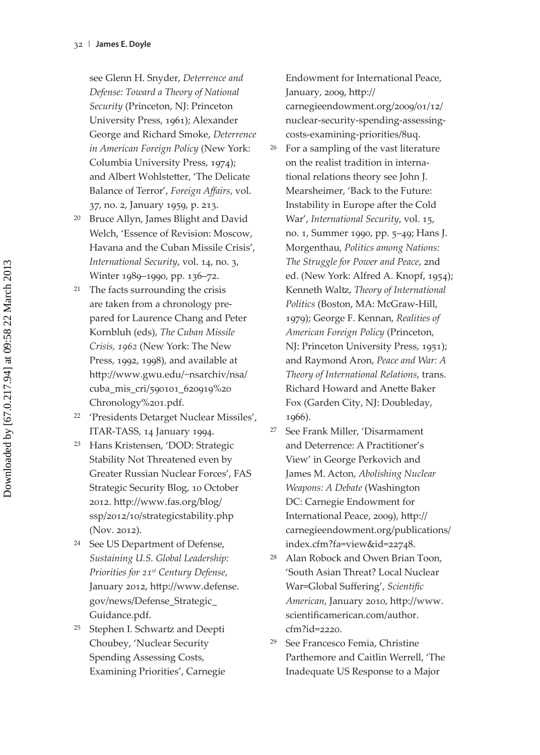see Glenn H. Snyder, *Deterrence and Defense: Toward a Theory of National Security* (Princeton, NJ: Princeton University Press, 1961); Alexander George and Richard Smoke, *Deterrence in American Foreign Policy* (New York: Columbia University Press, 1974); and Albert Wohlstetter, 'The Delicate Balance of Terror', *Foreign Affairs*, vol. 37, no. 2, January 1959, p. 213.

- <sup>20</sup> Bruce Allyn, James Blight and David Welch, 'Essence of Revision: Moscow, Havana and the Cuban Missile Crisis', *International Security*, vol. 14, no. 3, Winter 1989–1990, pp. 136–72.
- <sup>21</sup> The facts surrounding the crisis are taken from a chronology prepared for Laurence Chang and Peter Kornbluh (eds), *The Cuban Missile Crisis, 1962* (New York: The New Press, 1992, 1998), and available at http://www.gwu.edu/~nsarchiv/nsa/ cuba\_mis\_cri/590101\_620919%20 Chronology%201.pdf.
- <sup>22</sup> 'Presidents Detarget Nuclear Missiles', ITAR-TASS, 14 January 1994.
- <sup>23</sup> Hans Kristensen, 'DOD: Strategic Stability Not Threatened even by Greater Russian Nuclear Forces', FAS Strategic Security Blog, 10 October 2012. http://www.fas.org/blog/ ssp/2012/10/strategicstability.php (Nov. 2012).
- <sup>24</sup> See US Department of Defense, *Sustaining U.S. Global Leadership: Priorities for 21st Century Defense*, January 2012, http://www.defense. gov/news/Defense\_Strategic\_ Guidance.pdf.
- <sup>25</sup> Stephen I. Schwartz and Deepti Choubey, 'Nuclear Security Spending Assessing Costs, Examining Priorities', Carnegie

Endowment for International Peace, January, 2009, http:// carnegieendowment.org/2009/01/12/ nuclear-security-spending-assessingcosts-examining-priorities/8uq.

- <sup>26</sup> For a sampling of the vast literature on the realist tradition in international relations theory see John J. Mearsheimer, 'Back to the Future: Instability in Europe after the Cold War', *International Security*, vol. 15, no. 1, Summer 1990, pp. 5–49; Hans J. Morgenthau, *Politics among Nations: The Struggle for Power and Peace*, 2nd ed. (New York: Alfred A. Knopf, 1954); Kenneth Waltz, *Theory of International Politics* (Boston, MA: McGraw-Hill, 1979); George F. Kennan, *Realities of American Foreign Policy* (Princeton, NJ: Princeton University Press, 1951); and Raymond Aron, *Peace and War: A Theory of International Relations*, trans. Richard Howard and Anette Baker Fox (Garden City, NJ: Doubleday, 1966).
- <sup>27</sup> See Frank Miller, 'Disarmament and Deterrence: A Practitioner's View' in George Perkovich and James M. Acton, *Abolishing Nuclear Weapons: A Debate* (Washington DC: Carnegie Endowment for International Peace, 2009), http:// carnegieendowment.org/publications/ index.cfm?fa=view&id=22748.
- <sup>28</sup> Alan Robock and Owen Brian Toon, 'South Asian Threat? Local Nuclear War=Global Suffering', *Scientific American*, January 2010, http://www. scientificamerican.com/author. cfm?id=2220.
- <sup>29</sup> See Francesco Femia, Christine Parthemore and Caitlin Werrell, 'The Inadequate US Response to a Major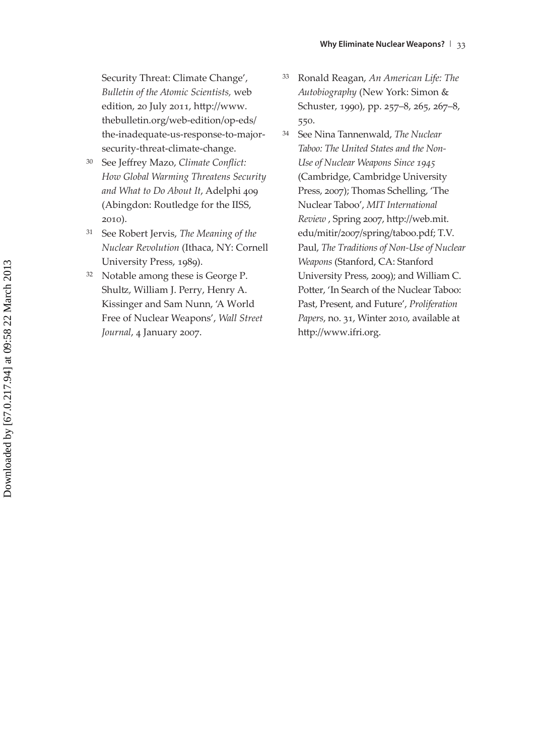Security Threat: Climate Change', *Bulletin of the Atomic Scientists,* web edition, 20 July 2011, http://www. thebulletin.org/web-edition/op-eds/ the-inadequate-us-response-to-majorsecurity-threat-climate-change.

- <sup>30</sup> See Jeffrey Mazo, *Climate Conflict: How Global Warming Threatens Security and What to Do About It*, Adelphi 409 (Abingdon: Routledge for the IISS, 2010).
- <sup>31</sup> See Robert Jervis, *The Meaning of the Nuclear Revolution* (Ithaca, NY: Cornell University Press, 1989).
- <sup>32</sup> Notable among these is George P. Shultz, William J. Perry, Henry A. Kissinger and Sam Nunn, 'A World Free of Nuclear Weapons', *Wall Street Journal*, 4 January 2007.
- <sup>33</sup> Ronald Reagan, *An American Life: The Autobiography* (New York: Simon & Schuster, 1990), pp. 257–8, 265, 267–8, 550.
- <sup>34</sup> See Nina Tannenwald, *The Nuclear Taboo: The United States and the Non-Use of Nuclear Weapons Since 1945* (Cambridge, Cambridge University Press, 2007); Thomas Schelling, 'The Nuclear Taboo', *MIT International Review* , Spring 2007, http://web.mit. edu/mitir/2007/spring/taboo.pdf; T.V. Paul, *The Traditions of Non-Use of Nuclear Weapons* (Stanford, CA: Stanford University Press, 2009); and William C. Potter, 'In Search of the Nuclear Taboo: Past, Present, and Future', *Proliferation Papers*, no. 31, Winter 2010, available at http://www.ifri.org.